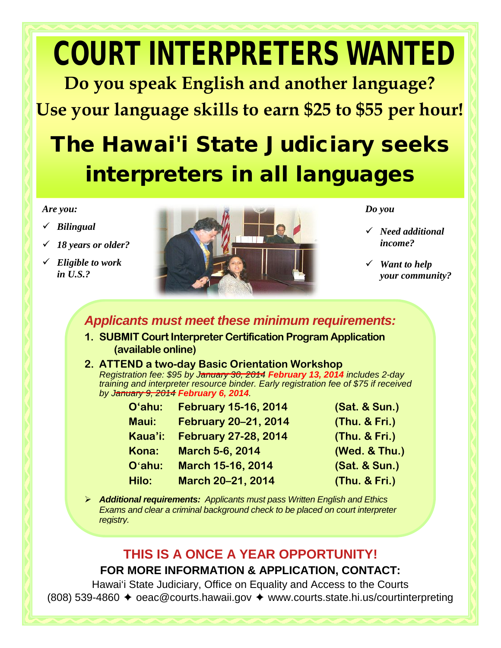# COURT INTERPRETERS WANTED **Do you speak English and another language? Use your language skills to earn \$25 to \$55 per hour!**

# The Hawai'i State Judiciary seeks interpreters in all languages

#### *Are you:*

- *Bilingual*
- *18 years or older?*
- *Eligible to work in U.S.?*



#### *Do you*

- *Need additional income?*
- *Want to help your community?*

### *Applicants must meet these minimum requirements:*

- **1. SUBMIT Court Interpreter Certification Program Application (available online)**
- **2. ATTEND a two-day Basic Orientation Workshop** *Registration fee: \$95 by January 30, 2014 February 13, 2014 includes 2-day training and interpreter resource binder. Early registration fee of \$75 if received by January 9, 2014 February 6, 2014.*

| O'ahu:  | <b>February 15-16, 2014</b> | (Sat. & Sun.) |
|---------|-----------------------------|---------------|
| Maui:   | February 20-21, 2014        | (Thu. & Fri.) |
| Kaua'i: | <b>February 27-28, 2014</b> | (Thu. & Fri.) |
| Kona:   | <b>March 5-6, 2014</b>      | (Wed. & Thu.) |
| O'ahu:  | <b>March 15-16, 2014</b>    | (Sat. & Sun.) |
| Hilo:   | March 20-21, 2014           | (Thu. & Fri.) |

 *Additional requirements: Applicants must pass Written English and Ethics Exams and clear a criminal background check to be placed on court interpreter registry.*

## **THIS IS A ONCE A YEAR OPPORTUNITY! FOR MORE INFORMATION & APPLICATION, CONTACT:**

Hawai'i State Judiciary, Office on Equality and Access to the Courts (808) 539-4860 ✦ oeac@courts.hawaii.gov ✦ [www.courts.state.hi.us/courtinterpreting](http://www.courts.state.hi.us/courtinterpreting/)